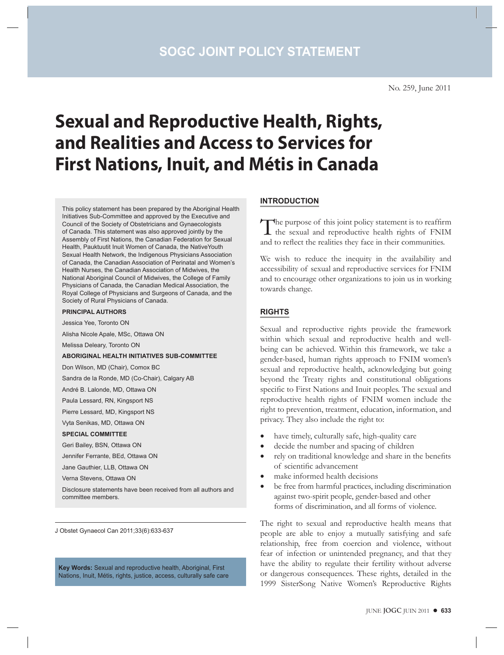No. 259, June 2011

# **Sexual and Reproductive Health, Rights, and Realities and Access to Services for First Nations, Inuit, and Métis in Canada**

This policy statement has been prepared by the Aboriginal Health Initiatives Sub-Committee and approved by the Executive and Council of the Society of Obstetricians and Gynaecologists of Canada. This statement was also approved jointly by the Assembly of First Nations, the Canadian Federation for Sexual Health, Pauktuutit Inuit Women of Canada, the NativeYouth Sexual Health Network, the Indigenous Physicians Association of Canada, the Canadian Association of Perinatal and Women's Health Nurses, the Canadian Association of Midwives, the National Aboriginal Council of Midwives, the College of Family Physicians of Canada, the Canadian Medical Association, the Royal College of Physicians and Surgeons of Canada, and the Society of Rural Physicians of Canada.

#### **PRINCIPAL AUTHORS**

Jessica Yee, Toronto ON

Alisha Nicole Apale, MSc, Ottawa ON

Melissa Deleary, Toronto ON

#### **ABORIGINAL HEALTH INITIATIVES SUB-COMMITTEE**

Don Wilson, MD (Chair), Comox BC

Sandra de la Ronde, MD (Co-Chair), Calgary AB

André B. Lalonde, MD, Ottawa ON

Paula Lessard, RN, Kingsport NS

Pierre Lessard, MD, Kingsport NS

Vyta Senikas, MD, Ottawa ON

#### **SPECIAL COMMITTEE**

Geri Bailey, BSN, Ottawa ON

Jennifer Ferrante, BEd, Ottawa ON

Jane Gauthier, LLB, Ottawa ON

Verna Stevens, Ottawa ON

Disclosure statements have been received from all authors and committee members.

J Obstet Gynaecol Can 2011;33(6):633-637

**Key Words:** Sexual and reproductive health, Aboriginal, First Nations, Inuit, Métis, rights, justice, access, culturally safe care

#### **INTRODUCTION**

The purpose of this joint policy statement is to reaffirm the sexual and reproductive health rights of FNIM and to reflect the realities they face in their communities.

We wish to reduce the inequity in the availability and accessibility of sexual and reproductive services for FNIM and to encourage other organizations to join us in working towards change.

#### **RIGHTS**

Sexual and reproductive rights provide the framework within which sexual and reproductive health and wellbeing can be achieved. Within this framework, we take a gender-based, human rights approach to FNIM women's sexual and reproductive health, acknowledging but going beyond the Treaty rights and constitutional obligations specific to First Nations and Inuit peoples. The sexual and reproductive health rights of FNIM women include the right to prevention, treatment, education, information, and privacy. They also include the right to:

- have timely, culturally safe, high-quality care
- decide the number and spacing of children
- rely on traditional knowledge and share in the benefits of scientific advancement
- make informed health decisions
- be free from harmful practices, including discrimination against two-spirit people, gender-based and other forms of discrimination, and all forms of violence.

The right to sexual and reproductive health means that people are able to enjoy a mutually satisfying and safe relationship, free from coercion and violence, without fear of infection or unintended pregnancy, and that they have the ability to regulate their fertility without adverse or dangerous consequences. These rights, detailed in the 1999 SisterSong Native Women's Reproductive Rights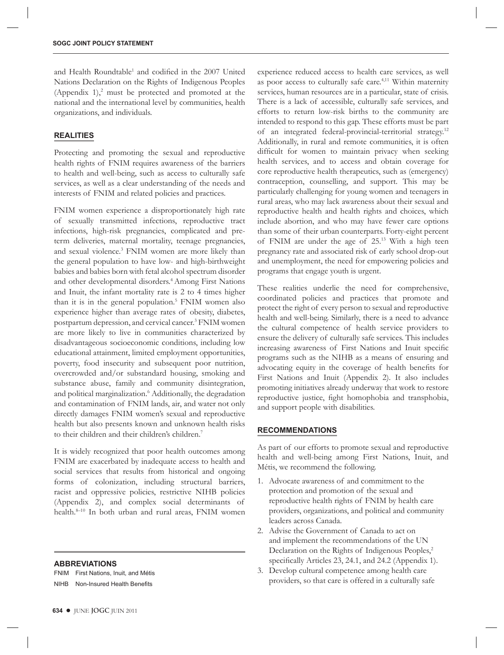and Health Roundtable<sup>1</sup> and codified in the 2007 United Nations Declaration on the Rights of Indigenous Peoples (Appendix  $1$ ),<sup>2</sup> must be protected and promoted at the national and the international level by communities, health organizations, and individuals.

### **REALITIES**

Protecting and promoting the sexual and reproductive health rights of FNIM requires awareness of the barriers to health and well-being, such as access to culturally safe services, as well as a clear understanding of the needs and interests of FNIM and related policies and practices.

FNIM women experience a disproportionately high rate of sexually transmitted infections, reproductive tract infections, high-risk pregnancies, complicated and preterm deliveries, maternal mortality, teenage pregnancies, and sexual violence.<sup>3</sup> FNIM women are more likely than the general population to have low- and high-birthweight babies and babies born with fetal alcohol spectrum disorder and other developmental disorders.<sup>4</sup> Among First Nations and Inuit, the infant mortality rate is 2 to 4 times higher than it is in the general population.<sup>5</sup> FNIM women also experience higher than average rates of obesity, diabetes, postpartum depression, and cervical cancer.3 FNIM women are more likely to live in communities characterized by disadvantageous socioeconomic conditions, including low educational attainment, limited employment opportunities, poverty, food insecurity and subsequent poor nutrition, overcrowded and/or substandard housing, smoking and substance abuse, family and community disintegration, and political marginalization.<sup>6</sup> Additionally, the degradation and contamination of FNIM lands, air, and water not only directly damages FNIM women's sexual and reproductive health but also presents known and unknown health risks to their children and their children's children.7

It is widely recognized that poor health outcomes among FNIM are exacerbated by inadequate access to health and social services that results from historical and ongoing forms of colonization, including structural barriers, racist and oppressive policies, restrictive NIHB policies (Appendix 2), and complex social determinants of health.<sup>8-10</sup> In both urban and rural areas, FNIM women

#### **ABBREVIATIONS**

FNIM First Nations, Inuit, and Métis NIHB Non-Insured Health Benefits

experience reduced access to health care services, as well as poor access to culturally safe care.<sup>4,11</sup> Within maternity services, human resources are in a particular, state of crisis. There is a lack of accessible, culturally safe services, and efforts to return low-risk births to the community are intended to respond to this gap. These efforts must be part of an integrated federal-provincial-territorial strategy.12 Additionally, in rural and remote communities, it is often difficult for women to maintain privacy when seeking health services, and to access and obtain coverage for core reproductive health therapeutics, such as (emergency) contraception, counselling, and support. This may be particularly challenging for young women and teenagers in rural areas, who may lack awareness about their sexual and reproductive health and health rights and choices, which include abortion, and who may have fewer care options than some of their urban counterparts. Forty-eight percent of FNIM are under the age of 25.13 With a high teen pregnancy rate and associated risk of early school drop-out and unemployment, the need for empowering policies and programs that engage youth is urgent.

These realities underlie the need for comprehensive, coordinated policies and practices that promote and protect the right of every person to sexual and reproductive health and well-being. Similarly, there is a need to advance the cultural competence of health service providers to ensure the delivery of culturally safe services. This includes increasing awareness of First Nations and Inuit specific programs such as the NIHB as a means of ensuring and advocating equity in the coverage of health benefits for First Nations and Inuit (Appendix 2). It also includes promoting initiatives already underway that work to restore reproductive justice, fight homophobia and transphobia, and support people with disabilities.

#### **RECOMMENDATIONS**

As part of our efforts to promote sexual and reproductive health and well-being among First Nations, Inuit, and Métis, we recommend the following.

- 1. Advocate awareness of and commitment to the protection and promotion of the sexual and reproductive health rights of FNIM by health care providers, organizations, and political and community leaders across Canada.
- 2. Advise the Government of Canada to act on and implement the recommendations of the UN Declaration on the Rights of Indigenous Peoples,<sup>2</sup> specifically Articles 23, 24.1, and 24.2 (Appendix 1).
- 3. Develop cultural competence among health care providers, so that care is offered in a culturally safe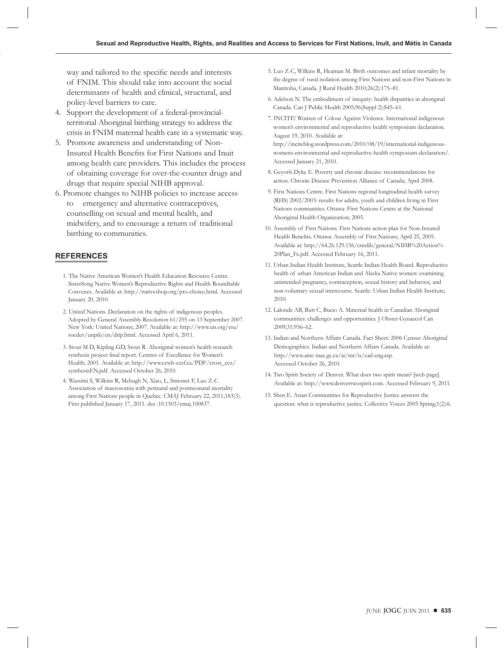way and tailored to the specific needs and interests of FNIM. This should take into account the social determinants of health and clinical, structural, and policy-level barriers to care.

- 4. Support the development of a federal-provincialterritorial Aboriginal birthing strategy to address the crisis in FNIM maternal health care in a systematic way.
- 5. Promote awareness and understanding of Non-Insured Health Benefits for First Nations and Inuit among health care providers. This includes the process of obtaining coverage for over-the-counter drugs and drugs that require special NIHB approval.
- 6. Promote changes to NIHB policies to increase access to emergency and alternative contraceptives, counselling on sexual and mental health, and midwifery, and to encourage a return of traditional birthing to communities.

#### **REFERENCES**

- 1. The Native American Women's Health Education Resource Centre. SisterSong Native Women's Reproductive Rights and Health Roundtable Convenes. Available at: http://nativeshop.org/pro-choice.html. Accessed January 20, 2010.
- 2. United Nations. Declaration on the rights of indigenous peoples. Adopted by General Assembly Resolution 61/295 on 13 September 2007. New York: United Nations; 2007. Available at: http://www.un.org/esa/ socdev/unpfii/en/drip.html. Accessed April 6, 2011.
- 3. Stout M D, Kipling GD, Stout R. Aboriginal women's health research synthesis project final report. Centres of Excellence for Women's Health; 2001. Available at: http://www.cewh-cesf.ca/PDF/cross\_cex/ synthesisEN.pdf. Accessed October 26, 2010.
- 4. Wassimi S, Wilkins R, Mchugh N, Xiao, L, Simonet F, Luo Z-C. Association of macrosomia with perinatal and postneonatal mortality among First Nations people in Quebec. CMAJ February 22, 2011;183(3). First published January 17, 2011. doi :10.1503/cmaj.100837.
- 5. Luo Z-C, Wilkins R, Heaman M. Birth outcomes and infant mortality by the degree of rural isolation among First Nations and non-First Nations in Manitoba, Canada. J Rural Health 2010;26(2):175–81.
- 6. Adelson N. The embodiment of inequity: health disparities in aboriginal Canada. Can J Public Health 2005;96(Suppl 2):S45–61.
- 7. INCITE! Women of Colour Against Violence. International indigenous women's environmental and reproductive health symposium declaration. August 19, 2010. Available at:

http://inciteblog.wordpress.com/2010/08/19/international-indigenouswomens-environmental-and-reproductive-health-symposium-declaration/. Accessed January 21, 2010.

- 8. Geyorfi-Dyke E. Poverty and chronic disease: recommendations for action. Chronic Disease Prevention Alliance of Canada; April 2008.
- 9. First Nations Centre. First Nations regional longitudinal health survey (RHS) 2002/2003: results for adults, youth and children living in First Nations communities. Ottawa: First Nations Centre at the National Aboriginal Health Organization; 2005.
- 10. Assembly of First Nations. First Nations action plan for Non-Insured Health Benefits. Ottawa: Assembly of First Nations; April 25, 2005. Available at: http://64.26.129.156/cmslib/general/NIHB%20Action% 20Plan\_Fe.pdf. Accessed February 16, 2011.
- 11. Urban Indian Health Institute, Seattle Indian Health Board. Reproductive health of urban American Indian and Alaska Native women: examining unintended pregnancy, contraception, sexual history and behavior, and non-voluntary sexual intercourse. Seattle: Urban Indian Health Institute; 2010.
- 12. Lalonde AB, Butt C, Bucio A. Maternal health in Canadian Aboriginal communities: challenges and opportunities. J Obstet Gynaecol Can 2009;31:956–62.
- 13. Indian and Northern Affairs Canada. Fact Sheet: 2006 Census Aboriginal Demographics. Indian and Northern Affairs Canada. Available at: http://www.ainc-inac.gc.ca/ai/mr/is/cad-eng.asp. Accessed October 26, 2010.
- 14. Two Spirit Society of Denver. What does two spirit mean? [web page]. Available at: http://www.denvertwospirit.com. Accessed February 9, 2011.
- 15. Shen E. Asian Communities for Reproductive Justice answers the question: what is reproductive justice. Collective Voices 2005 Spring;1(2):6.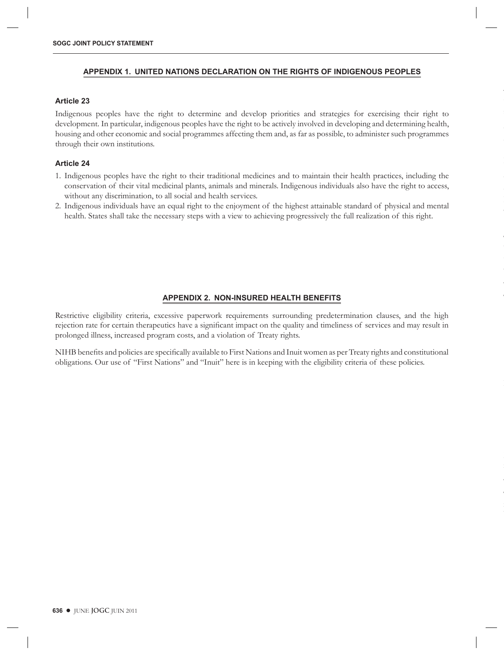#### **APPENDIX 1. UNITED NATIONS DECLARATION ON THE RIGHTS OF INDIGENOUS PEOPLES**

#### **Article 23**

Indigenous peoples have the right to determine and develop priorities and strategies for exercising their right to development. In particular, indigenous peoples have the right to be actively involved in developing and determining health, housing and other economic and social programmes affecting them and, as far as possible, to administer such programmes through their own institutions.

# **Article 24**

- 1. Indigenous peoples have the right to their traditional medicines and to maintain their health practices, including the conservation of their vital medicinal plants, animals and minerals. Indigenous individuals also have the right to access, without any discrimination, to all social and health services.
- 2. Indigenous individuals have an equal right to the enjoyment of the highest attainable standard of physical and mental health. States shall take the necessary steps with a view to achieving progressively the full realization of this right.

#### **APPENDIX 2. NON-INSURED HEALTH BENEFITS**

Restrictive eligibility criteria, excessive paperwork requirements surrounding predetermination clauses, and the high rejection rate for certain therapeutics have a significant impact on the quality and timeliness of services and may result in prolonged illness, increased program costs, and a violation of Treaty rights.

NIHB benefits and policies are specifically available to First Nations and Inuit women as per Treaty rights and constitutional obligations. Our use of "First Nations" and "Inuit" here is in keeping with the eligibility criteria of these policies.